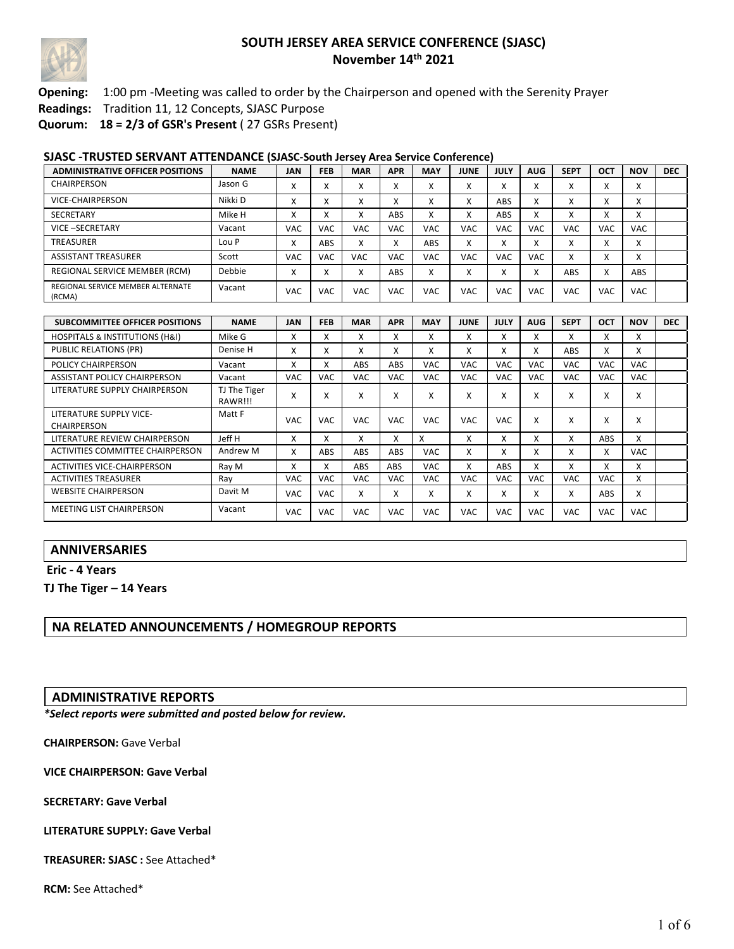

### **Opening:** 1:00 pm -Meeting was called to order by the Chairperson and opened with the Serenity Prayer

**Readings:** Tradition 11, 12 Concepts, SJASC Purpose

**Quorum: 18 = 2/3 of GSR's Present** ( 27 GSRs Present)

#### **SJASC -TRUSTED SERVANT ATTENDANCE (SJASC-South Jersey Area Service Conference)**

| ADMINISTRATIVE OFFICER POSITIONS            | <b>NAME</b> | <b>JAN</b>             | <b>FEB</b> | <b>MAR</b>            | <b>APR</b> | <b>MAY</b>             | <b>JUNE</b>               | <b>JULY</b>               | <b>AUG</b>                | <b>SEPT</b> | OCT       | <b>NOV</b>             | <b>DEC</b> |
|---------------------------------------------|-------------|------------------------|------------|-----------------------|------------|------------------------|---------------------------|---------------------------|---------------------------|-------------|-----------|------------------------|------------|
| CHAIRPERSON                                 | Jason G     | v<br>$\lambda$         | $\lambda$  | $\lambda$             | $\lambda$  | $\checkmark$<br>$\sim$ | $\checkmark$<br>$\lambda$ | $\mathbf{v}$<br>$\lambda$ | $\lambda$<br>$\lambda$    | A           | $\lambda$ | $\lambda$<br>$\lambda$ |            |
| VICE-CHAIRPERSON                            | Nikki D     | $\lambda$<br>$\lambda$ | $\lambda$  | $\lambda$             |            | $\checkmark$<br>$\sim$ | $\lambda$                 | ABS                       | $\checkmark$<br>$\lambda$ | $\lambda$   | $\lambda$ | $\lambda$<br>$\lambda$ |            |
| <b>SECRETARY</b>                            | Mike H      |                        |            |                       | ABS        | $\checkmark$<br>^      | $\lambda$                 | <b>ABS</b>                | $\checkmark$<br>л         | ^           | $\lambda$ | $\lambda$<br>$\lambda$ |            |
| VICE-SECRETARY                              | Vacant      | <b>VAC</b>             | <b>VAC</b> | VAC                   | VAC        | VAC                    | <b>VAC</b>                | VAC                       | VAC                       | <b>VAC</b>  | VAC       | <b>VAC</b>             |            |
| TREASURER                                   | Lou P       | $\lambda$<br>$\sim$    | ABS        | $\mathbf v$<br>$\sim$ |            | ABS                    | X                         | $\mathbf{v}$<br>v         | $\checkmark$<br>A         | X           | $\lambda$ | $\lambda$<br>$\lambda$ |            |
| <b>ASSISTANT TREASURER</b>                  | Scott       | <b>VAC</b>             | <b>VAC</b> | <b>VAC</b>            | <b>VAC</b> | VAC                    | <b>VAC</b>                | VAC                       | VAC                       | X           | $\lambda$ | $\lambda$<br>$\lambda$ |            |
| REGIONAL SERVICE MEMBER (RCM)               | Debbie      | $\lambda$<br>$\lambda$ | $\lambda$  | $\lambda$             | ABS        | $\checkmark$<br>v      | $\checkmark$<br>$\lambda$ | $\mathbf{v}$<br>$\lambda$ | $\checkmark$<br>v         | <b>ABS</b>  | ᄉ         | ABS                    |            |
| REGIONAL SERVICE MEMBER ALTERNATE<br>(RCMA) | Vacant      | VAC                    | VAC        | VAC                   | <b>VAC</b> | VAC                    | VAC                       | VAC                       | VAC                       | <b>VAC</b>  | VAC       | <b>VAC</b>             |            |

| <b>SUBCOMMITTEE OFFICER POSITIONS</b>         | <b>NAME</b>             | <b>JAN</b> | <b>FEB</b> | <b>MAR</b> | <b>APR</b>        | <b>MAY</b> | <b>JUNE</b> | <b>JULY</b> | <b>AUG</b> | <b>SEPT</b> | <b>OCT</b> | <b>NOV</b> | <b>DEC</b> |
|-----------------------------------------------|-------------------------|------------|------------|------------|-------------------|------------|-------------|-------------|------------|-------------|------------|------------|------------|
| <b>HOSPITALS &amp; INSTITUTIONS (H&amp;I)</b> | Mike G                  | x          | x          | x          | x                 | x          | x           | X           | x          | x           | x          | x          |            |
| <b>PUBLIC RELATIONS (PR)</b>                  | Denise H                | Χ          | x          | x          | x                 | x          | X           | X           | X          | <b>ABS</b>  | X          | x          |            |
| <b>POLICY CHAIRPERSON</b>                     | Vacant                  | x          |            | <b>ABS</b> | ABS               | <b>VAC</b> | <b>VAC</b>  | <b>VAC</b>  | <b>VAC</b> | <b>VAC</b>  | <b>VAC</b> | <b>VAC</b> |            |
| ASSISTANT POLICY CHAIRPERSON                  | Vacant                  | <b>VAC</b> | VAC        | VAC        | <b>VAC</b>        | VAC.       | <b>VAC</b>  | <b>VAC</b>  | <b>VAC</b> | <b>VAC</b>  | <b>VAC</b> | <b>VAC</b> |            |
| LITERATURE SUPPLY CHAIRPERSON                 | TJ The Tiger<br>RAWR!!! | X          | v          | x          | $\checkmark$<br>л | X          | X           | X           | X          | x           | X          | x          |            |
| LITERATURE SUPPLY VICE-<br><b>CHAIRPERSON</b> | Matt F                  | <b>VAC</b> | VAC        | <b>VAC</b> | <b>VAC</b>        | <b>VAC</b> | <b>VAC</b>  | <b>VAC</b>  | X          | X           | x          | x          |            |
| LITERATURE REVIEW CHAIRPERSON                 | Jeff H                  | x          | x          | x          | x                 | X          | x           | X           | X          | x           | ABS        | x          |            |
| ACTIVITIES COMMITTEE CHAIRPERSON              | Andrew M                | x          | <b>ABS</b> | <b>ABS</b> | ABS               | <b>VAC</b> | x           | x           | x          | x           | X          | VAC.       |            |
| ACTIVITIES VICE-CHAIRPERSON                   | Ray M                   | x          | x          | <b>ABS</b> | ABS               | <b>VAC</b> | X           | <b>ABS</b>  | x          | x           | X          | x          |            |
| <b>ACTIVITIES TREASURER</b>                   | Ray                     | <b>VAC</b> | VAC.       | <b>VAC</b> | <b>VAC</b>        | <b>VAC</b> | <b>VAC</b>  | <b>VAC</b>  | <b>VAC</b> | <b>VAC</b>  | <b>VAC</b> | x          |            |
| <b>WEBSITE CHAIRPERSON</b>                    | Davit M                 | <b>VAC</b> | <b>VAC</b> | x          | x                 | x          | x           | X           | x          | x           | ABS        | x          |            |
| <b>MEETING LIST CHAIRPERSON</b>               | Vacant                  | <b>VAC</b> | VAC        | <b>VAC</b> | <b>VAC</b>        | VAC        | <b>VAC</b>  | <b>VAC</b>  | VAC.       | <b>VAC</b>  | <b>VAC</b> | VAC.       |            |

## **ANNIVERSARIES**

**Eric - 4 Years**

**TJ The Tiger – 14 Years**

### **NA RELATED ANNOUNCEMENTS / HOMEGROUP REPORTS**

#### **ADMINISTRATIVE REPORTS**

*\*Select reports were submitted and posted below for review.*

**CHAIRPERSON:** Gave Verbal

**VICE CHAIRPERSON: Gave Verbal**

**SECRETARY: Gave Verbal** 

**LITERATURE SUPPLY: Gave Verbal** 

**TREASURER: SJASC :** See Attached\*

**RCM:** See Attached\*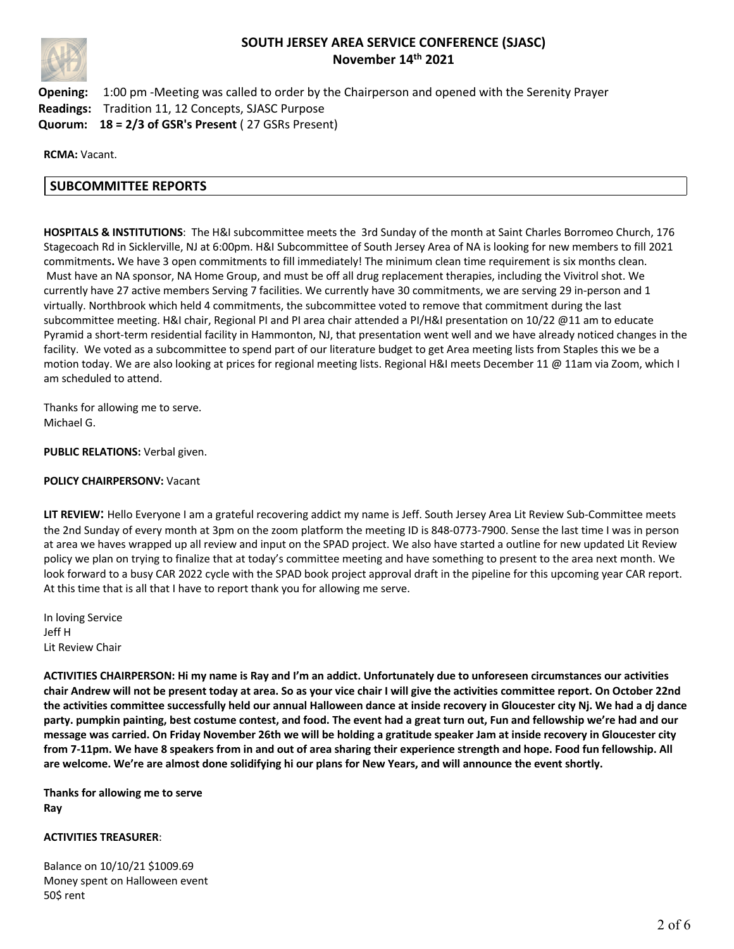

**Opening:** 1:00 pm -Meeting was called to order by the Chairperson and opened with the Serenity Prayer **Readings:** Tradition 11, 12 Concepts, SJASC Purpose **Quorum: 18 = 2/3 of GSR's Present** ( 27 GSRs Present)

**RCMA:** Vacant.

## **SUBCOMMITTEE REPORTS**

**HOSPITALS & INSTITUTIONS**: The H&I subcommittee meets the 3rd Sunday of the month at Saint Charles Borromeo Church, 176 Stagecoach Rd in Sicklerville, NJ at 6:00pm. H&I Subcommittee of South Jersey Area of NA is looking for new members to fill 2021 commitments**.** We have 3 open commitments to fill immediately! The minimum clean time requirement is six months clean. Must have an NA sponsor, NA Home Group, and must be off all drug replacement therapies, including the Vivitrol shot. We currently have 27 active members Serving 7 facilities. We currently have 30 commitments, we are serving 29 in-person and 1 virtually. Northbrook which held 4 commitments, the subcommittee voted to remove that commitment during the last subcommittee meeting. H&I chair, Regional PI and PI area chair attended a PI/H&I presentation on 10/22 @11 am to educate Pyramid a short-term residential facility in Hammonton, NJ, that presentation went well and we have already noticed changes in the facility. We voted as a subcommittee to spend part of our literature budget to get Area meeting lists from Staples this we be a motion today. We are also looking at prices for regional meeting lists. Regional H&I meets December 11 @ 11am via Zoom, which I am scheduled to attend.

Thanks for allowing me to serve. Michael G.

**PUBLIC RELATIONS:** Verbal given.

#### **POLICY CHAIRPERSONV:** Vacant

**LIT REVIEW**: Hello Everyone I am a grateful recovering addict my name is Jeff. South Jersey Area Lit Review Sub-Committee meets the 2nd Sunday of every month at 3pm on the zoom platform the meeting ID is 848-0773-7900. Sense the last time I was in person at area we haves wrapped up all review and input on the SPAD project. We also have started a outline for new updated Lit Review policy we plan on trying to finalize that at today's committee meeting and have something to present to the area next month. We look forward to a busy CAR 2022 cycle with the SPAD book project approval draft in the pipeline for this upcoming year CAR report. At this time that is all that I have to report thank you for allowing me serve.

In loving Service Jeff H Lit Review Chair

**ACTIVITIES CHAIRPERSON: Hi my name is Ray and I'm an addict. Unfortunately due to unforeseen circumstances our activities chair Andrew will not be present today at area. So as your vice chair I will give the activities committee report. On October 22nd the activities committee successfully held our annual Halloween dance at inside recovery in Gloucester city Nj. We had a dj dance party. pumpkin painting, best costume contest, and food. The event had a great turn out, Fun and fellowship we're had and our message was carried. On Friday November 26th we will be holding a gratitude speaker Jam at inside recovery in Gloucester city from 7-11pm. We have 8 speakers from in and out of area sharing their experience strength and hope. Food fun fellowship. All are welcome. We're are almost done solidifying hi our plans for New Years, and will announce the event shortly.**

**Thanks for allowing me to serve Ray**

#### **ACTIVITIES TREASURER**:

Balance on 10/10/21 \$1009.69 Money spent on Halloween event 50\$ rent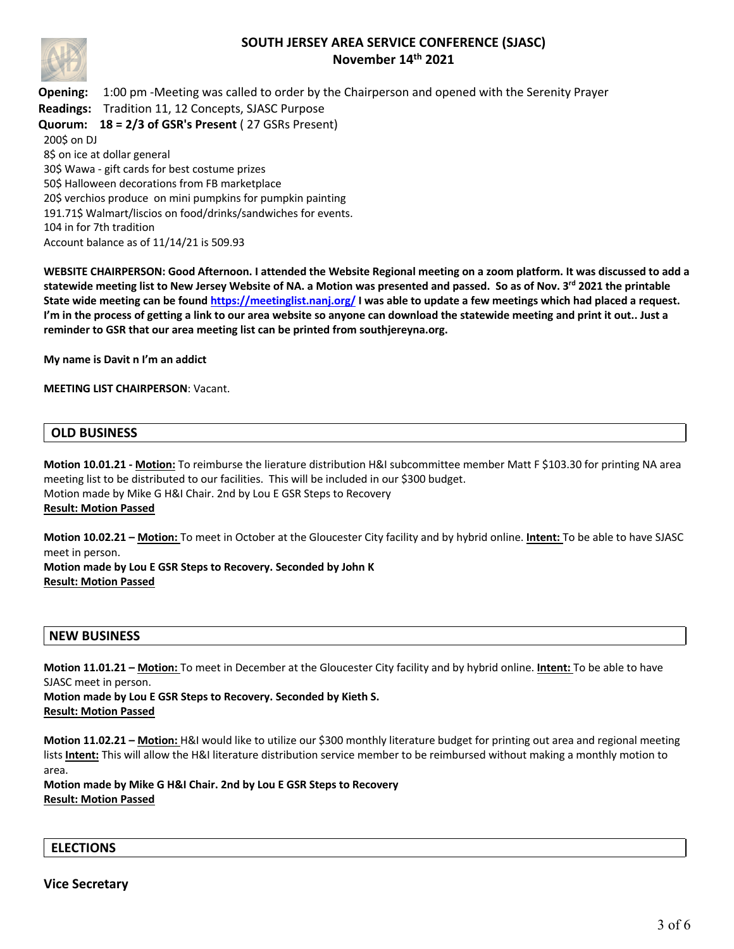

**Opening:** 1:00 pm -Meeting was called to order by the Chairperson and opened with the Serenity Prayer **Readings:** Tradition 11, 12 Concepts, SJASC Purpose **Quorum: 18 = 2/3 of GSR's Present** ( 27 GSRs Present) 200\$ on DJ 8\$ on ice at dollar general 30\$ Wawa - gift cards for best costume prizes 50\$ Halloween decorations from FB marketplace 20\$ verchios produce on mini pumpkins for pumpkin painting 191.71\$ Walmart/liscios on food/drinks/sandwiches for events.

104 in for 7th tradition Account balance as of 11/14/21 is 509.93

**WEBSITE CHAIRPERSON: Good Afternoon. I attended the Website Regional meeting on a zoom platform. It was discussed to add a statewide meeting list to New Jersey Website of NA. a Motion was presented and passed. So as of Nov. 3rd 2021 the printable State wide meeting can be found https://meetinglist.nanj.org/ I was able to update a few meetings which had placed a request. I'm in the process of getting a link to our area website so anyone can download the statewide meeting and print it out.. Just a reminder to GSR that our area meeting list can be printed from southjereyna.org.** 

**My name is Davit n I'm an addict** 

**MEETING LIST CHAIRPERSON**: Vacant.

## **OLD BUSINESS**

**Motion 10.01.21 - Motion:** To reimburse the lierature distribution H&I subcommittee member Matt F \$103.30 for printing NA area meeting list to be distributed to our facilities. This will be included in our \$300 budget. Motion made by Mike G H&I Chair. 2nd by Lou E GSR Steps to Recovery **Result: Motion Passed**

**Motion 10.02.21 – Motion:** To meet in October at the Gloucester City facility and by hybrid online. **Intent:** To be able to have SJASC meet in person.

**Motion made by Lou E GSR Steps to Recovery. Seconded by John K Result: Motion Passed** 

#### **NEW BUSINESS**

**Motion 11.01.21 – Motion:** To meet in December at the Gloucester City facility and by hybrid online. **Intent:** To be able to have SJASC meet in person.

**Motion made by Lou E GSR Steps to Recovery. Seconded by Kieth S. Result: Motion Passed** 

**Motion 11.02.21 – Motion:** H&I would like to utilize our \$300 monthly literature budget for printing out area and regional meeting lists **Intent:** This will allow the H&I literature distribution service member to be reimbursed without making a monthly motion to area.

**Motion made by Mike G H&I Chair. 2nd by Lou E GSR Steps to Recovery Result: Motion Passed**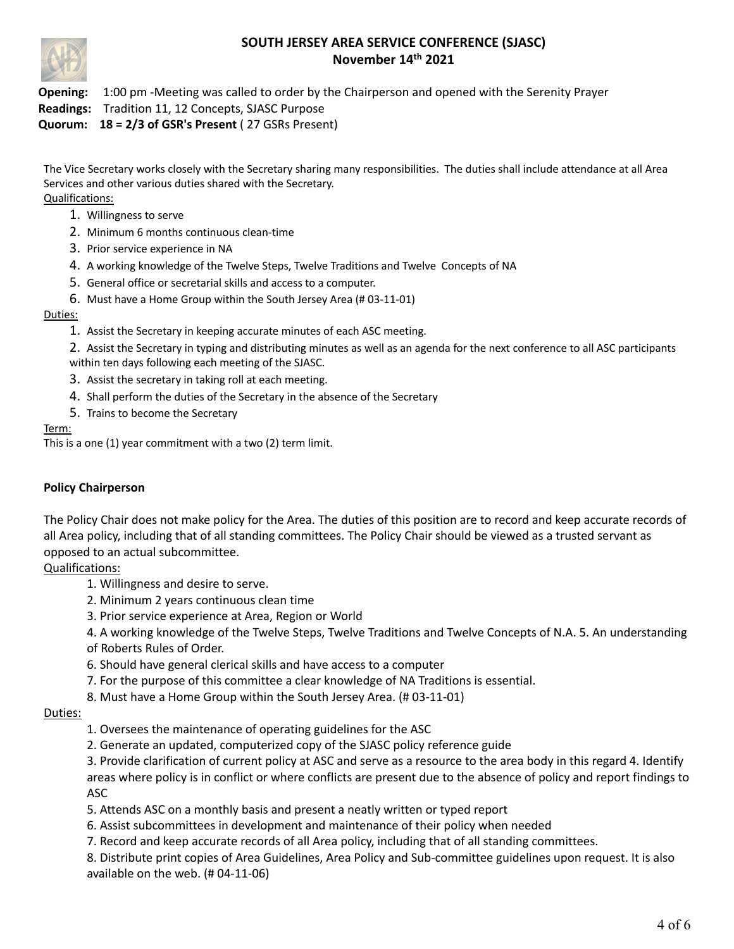

**Opening:** 1:00 pm -Meeting was called to order by the Chairperson and opened with the Serenity Prayer

**Readings:** Tradition 11, 12 Concepts, SJASC Purpose

**Quorum: 18 = 2/3 of GSR's Present** ( 27 GSRs Present)

The Vice Secretary works closely with the Secretary sharing many responsibilities. The duties shall include attendance at all Area Services and other various duties shared with the Secretary. Qualifications:

- 1. Willingness to serve
- 2. Minimum 6 months continuous clean-time
- 3. Prior service experience in NA
- 4. A working knowledge of the Twelve Steps, Twelve Traditions and Twelve Concepts of NA
- 5. General office or secretarial skills and access to a computer.
- 6. Must have a Home Group within the South Jersey Area (# 03-11-01)

### Duties:

1. Assist the Secretary in keeping accurate minutes of each ASC meeting.

2. Assist the Secretary in typing and distributing minutes as well as an agenda for the next conference to all ASC participants within ten days following each meeting of the SJASC.

- 3. Assist the secretary in taking roll at each meeting.
- 4. Shall perform the duties of the Secretary in the absence of the Secretary
- 5. Trains to become the Secretary

### Term:

This is a one (1) year commitment with a two (2) term limit.

## **Policy Chairperson**

The Policy Chair does not make policy for the Area. The duties of this position are to record and keep accurate records of all Area policy, including that of all standing committees. The Policy Chair should be viewed as a trusted servant as opposed to an actual subcommittee.

Qualifications:

- 1. Willingness and desire to serve.
- 2. Minimum 2 years continuous clean time
- 3. Prior service experience at Area, Region or World

4. A working knowledge of the Twelve Steps, Twelve Traditions and Twelve Concepts of N.A. 5. An understanding

- of Roberts Rules of Order.
- 6. Should have general clerical skills and have access to a computer
- 7. For the purpose of this committee a clear knowledge of NA Traditions is essential.
- 8. Must have a Home Group within the South Jersey Area. (# 03-11-01)

### Duties:

- 1. Oversees the maintenance of operating guidelines for the ASC
- 2. Generate an updated, computerized copy of the SJASC policy reference guide

3. Provide clarification of current policy at ASC and serve as a resource to the area body in this regard 4. Identify areas where policy is in conflict or where conflicts are present due to the absence of policy and report findings to ASC

- 5. Attends ASC on a monthly basis and present a neatly written or typed report
- 6. Assist subcommittees in development and maintenance of their policy when needed
- 7. Record and keep accurate records of all Area policy, including that of all standing committees.

8. Distribute print copies of Area Guidelines, Area Policy and Sub-committee guidelines upon request. It is also available on the web. (# 04-11-06)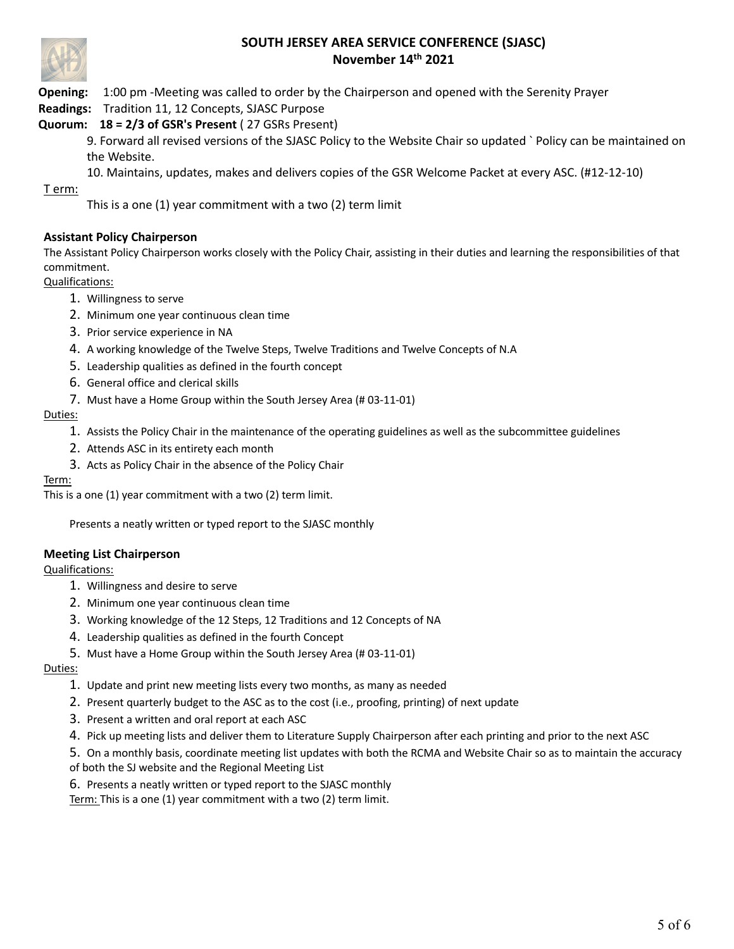

**Opening:** 1:00 pm -Meeting was called to order by the Chairperson and opened with the Serenity Prayer

**Readings:** Tradition 11, 12 Concepts, SJASC Purpose

## **Quorum: 18 = 2/3 of GSR's Present** ( 27 GSRs Present)

9. Forward all revised versions of the SJASC Policy to the Website Chair so updated ` Policy can be maintained on the Website.

10. Maintains, updates, makes and delivers copies of the GSR Welcome Packet at every ASC. (#12-12-10)

T erm:

This is a one (1) year commitment with a two (2) term limit

## **Assistant Policy Chairperson**

The Assistant Policy Chairperson works closely with the Policy Chair, assisting in their duties and learning the responsibilities of that commitment.

Qualifications:

- 1. Willingness to serve
- 2. Minimum one year continuous clean time
- 3. Prior service experience in NA
- 4. A working knowledge of the Twelve Steps, Twelve Traditions and Twelve Concepts of N.A
- 5. Leadership qualities as defined in the fourth concept
- 6. General office and clerical skills
- 7. Must have a Home Group within the South Jersey Area (# 03-11-01)

### Duties:

- 1. Assists the Policy Chair in the maintenance of the operating guidelines as well as the subcommittee guidelines
- 2. Attends ASC in its entirety each month
- 3. Acts as Policy Chair in the absence of the Policy Chair

### Term:

This is a one (1) year commitment with a two (2) term limit.

Presents a neatly written or typed report to the SJASC monthly

### **Meeting List Chairperson**

Qualifications:

- 1. Willingness and desire to serve
- 2. Minimum one year continuous clean time
- 3. Working knowledge of the 12 Steps, 12 Traditions and 12 Concepts of NA
- 4. Leadership qualities as defined in the fourth Concept
- 5. Must have a Home Group within the South Jersey Area (# 03-11-01)

Duties:

- 1. Update and print new meeting lists every two months, as many as needed
- 2. Present quarterly budget to the ASC as to the cost (i.e., proofing, printing) of next update
- 3. Present a written and oral report at each ASC
- 4. Pick up meeting lists and deliver them to Literature Supply Chairperson after each printing and prior to the next ASC
- 5. On a monthly basis, coordinate meeting list updates with both the RCMA and Website Chair so as to maintain the accuracy
- of both the SJ website and the Regional Meeting List
- 6. Presents a neatly written or typed report to the SJASC monthly

Term: This is a one (1) year commitment with a two (2) term limit.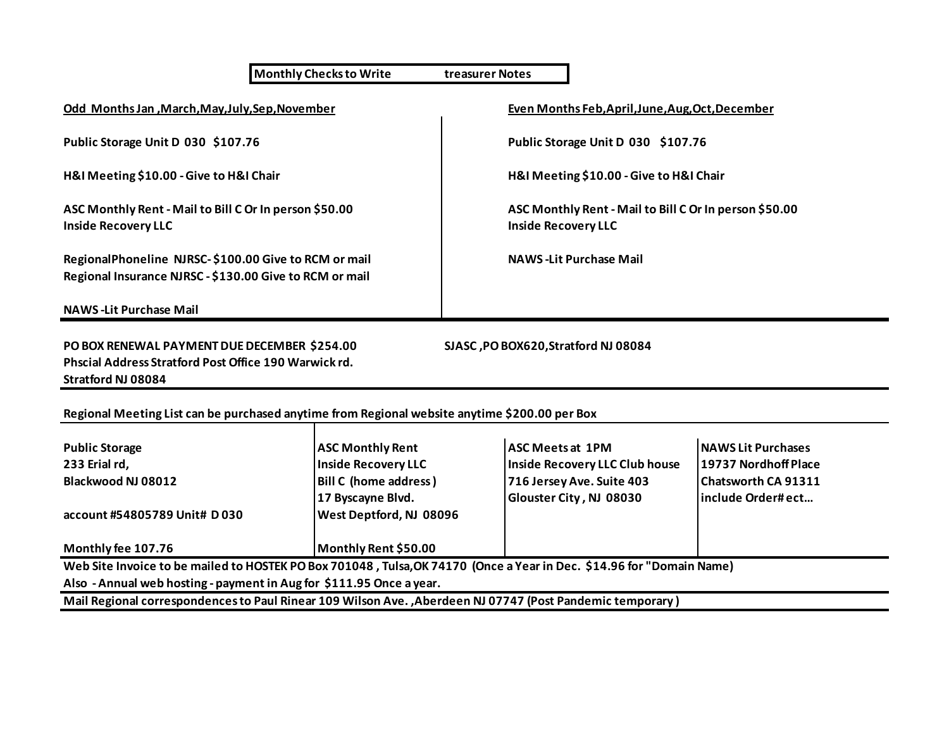**Monthly Checks to Write treasurer Notes**

**H&I Meeting \$10.00 - Give to H&I Chair H&I Meeting \$10.00 - Give to H&I Chair**

**ASC Monthly Rent - Mail to Bill C Or In person \$50.00 ASC Monthly Rent - Mail to Bill C Or In person \$50.00 Inside Recovery LLC Inside Recovery LLC**

RegionalPhoneline NJRSC-\$100.00 Give to RCM or mail **NAWS** -Lit Purchase Mail **Regional Insurance NJRSC - \$130.00 Give to RCM or mail**

**NAWS -Lit Purchase Mail**

**PO BOX RENEWAL PAYMENT DUE DECEMBER \$254.00 SJASC ,PO BOX620,Stratford NJ 08084 Phscial Address Stratford Post Office 190 Warwick rd. Stratford NJ 08084**

**Odd Months Jan ,March,May,July,Sep,November Even Months Feb,April,June,Aug,Oct,December**

**Public Storage Unit D 030 \$107.76 Public Storage Unit D 030 \$107.76**

**Regional Meeting List can be purchased anytime from Regional website anytime \$200.00 per Box**

| <b>Public Storage</b>                                                                                                 | <b>ASC Monthly Rent</b>        | <b>IASC Meets at 1PM</b>       | <b>INAWS Lit Purchases</b> |
|-----------------------------------------------------------------------------------------------------------------------|--------------------------------|--------------------------------|----------------------------|
| 233 Erial rd,                                                                                                         | Inside Recovery LLC            | Inside Recovery LLC Club house | 19737 Nordhoff Place       |
| Blackwood NJ 08012                                                                                                    | <b>Bill C (home address)</b>   | 716 Jersey Ave. Suite 403      | Chatsworth CA 91311        |
|                                                                                                                       | 17 Byscayne Blvd.              | Glouster City, NJ 08030        | linclude Order#ect         |
| account #54805789 Unit# D030                                                                                          | <b>West Deptford, NJ 08096</b> |                                |                            |
| Monthly fee 107.76                                                                                                    | Monthly Rent \$50.00           |                                |                            |
| Web Site Invoice to be mailed to HOSTEK RO Boy 701048. Tulse OK 74170. (Once a Vear in Dec. \$14.96 for "Domain Name) |                                |                                |                            |

**Web Site Invoice to be mailed to HOSTEK PO Box 701048 , Tulsa,OK 74170 (Once a Year in Dec. \$14.96 for "Domain Name) Also - Annual web hosting - payment in Aug for \$111.95 Once a year.**

**Mail Regional correspondences to Paul Rinear 109 Wilson Ave. ,Aberdeen NJ 07747 (Post Pandemic temporary )**